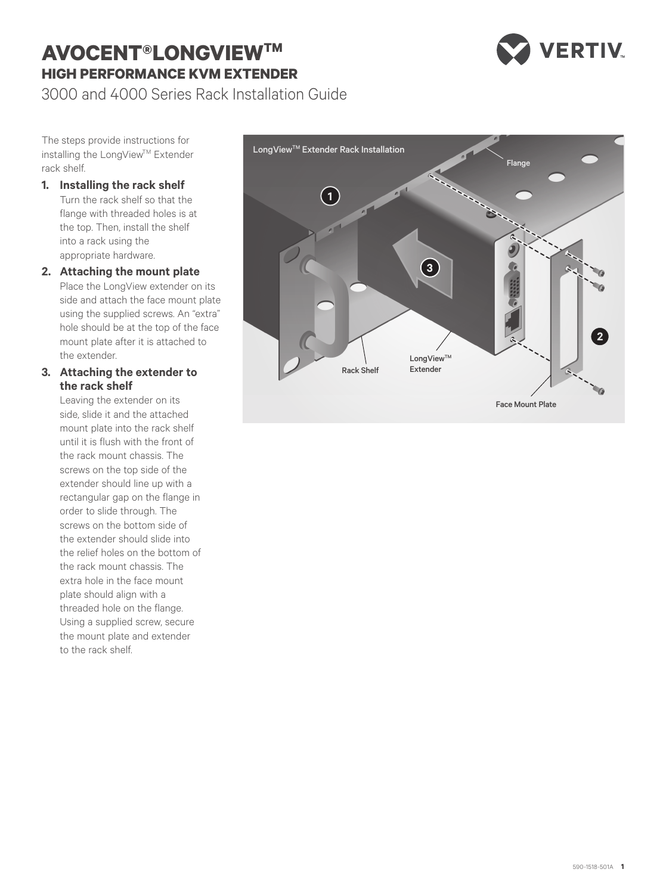## **AVOCENT® LONGVIEWTM HIGH PERFORMANCE KVM EXTENDER**



3000 and 4000 Series Rack Installation Guide

The steps provide instructions for installing the LongView™ Extender rack shelf.

- **1. Installing the rack shelf** Turn the rack shelf so that the flange with threaded holes is at the top. Then, install the shelf into a rack using the appropriate hardware.
- **2. Attaching the mount plate** Place the LongView extender on its side and attach the face mount plate using the supplied screws. An "extra" hole should be at the top of the face mount plate after it is attached to the extender.

## **3. Attaching the extender to the rack shelf**

Leaving the extender on its side, slide it and the attached mount plate into the rack shelf until it is flush with the front of the rack mount chassis. The screws on the top side of the extender should line up with a rectangular gap on the flange in order to slide through. The screws on the bottom side of the extender should slide into the relief holes on the bottom of the rack mount chassis. The extra hole in the face mount plate should align with a threaded hole on the flange. Using a supplied screw, secure the mount plate and extender to the rack shelf.